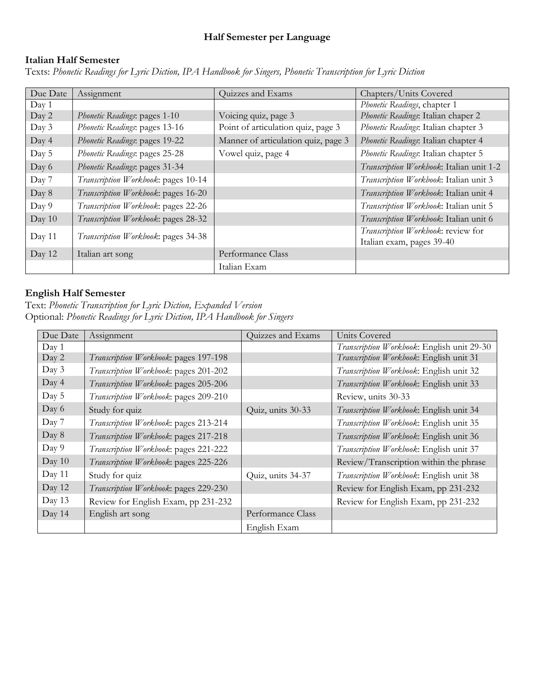### **Half Semester per Language**

# **Italian Half Semester**

Texts: *Phonetic Readings for Lyric Diction, IPA Handbook for Singers, Phonetic Transcription for Lyric Diction*

| Due Date | Assignment                          | Quizzes and Exams                   | Chapters/Units Covered                                          |
|----------|-------------------------------------|-------------------------------------|-----------------------------------------------------------------|
| Day 1    |                                     |                                     | Phonetic Readings, chapter 1                                    |
| Day 2    | Phonetic Readings: pages 1-10       | Voicing quiz, page 3                | Phonetic Readings: Italian chaper 2                             |
| Day 3    | Phonetic Readings: pages 13-16      | Point of articulation quiz, page 3  | Phonetic Readings: Italian chapter 3                            |
| Day 4    | Phonetic Readings: pages 19-22      | Manner of articulation quiz, page 3 | Phonetic Readings: Italian chapter 4                            |
| Day 5    | Phonetic Readings: pages 25-28      | Vowel quiz, page 4                  | Phonetic Readings: Italian chapter 5                            |
| Day 6    | Phonetic Readings: pages 31-34      |                                     | Transcription Workbook: Italian unit 1-2                        |
| Day 7    | Transcription Workbook: pages 10-14 |                                     | Transcription Workbook: Italian unit 3                          |
| Day 8    | Transcription Workbook: pages 16-20 |                                     | Transcription Workbook: Italian unit 4                          |
| Day 9    | Transcription Workbook: pages 22-26 |                                     | Transcription Workbook: Italian unit 5                          |
| Day 10   | Transcription Workbook: pages 28-32 |                                     | Transcription Workbook: Italian unit 6                          |
| Day 11   | Transcription Workbook: pages 34-38 |                                     | Transcription Workbook: review for<br>Italian exam, pages 39-40 |
| Day 12   | Italian art song                    | Performance Class                   |                                                                 |
|          |                                     | Italian Exam                        |                                                                 |

#### **English Half Semester**

Text: *Phonetic Transcription for Lyric Diction, Expanded Version* Optional: *Phonetic Readings for Lyric Diction, IPA Handbook for Singers*

| Due Date | Assignment                            | Quizzes and Exams | Units Covered                              |
|----------|---------------------------------------|-------------------|--------------------------------------------|
| Day 1    |                                       |                   | Transcription Workbook: English unit 29-30 |
| Day 2    | Transcription Workbook: pages 197-198 |                   | Transcription Workbook: English unit 31    |
| Day 3    | Transcription Workbook: pages 201-202 |                   | Transcription Workbook: English unit 32    |
| Day 4    | Transcription Workbook: pages 205-206 |                   | Transcription Workbook: English unit 33    |
| Day 5    | Transcription Workbook: pages 209-210 |                   | Review, units 30-33                        |
| Day 6    | Study for quiz                        | Quiz, units 30-33 | Transcription Workbook: English unit 34    |
| Day 7    | Transcription Workbook: pages 213-214 |                   | Transcription Workbook: English unit 35    |
| Day 8    | Transcription Workbook: pages 217-218 |                   | Transcription Workbook: English unit 36    |
| Day 9    | Transcription Workbook: pages 221-222 |                   | Transcription Workbook: English unit 37    |
| Day 10   | Transcription Workbook: pages 225-226 |                   | Review/Transcription within the phrase     |
| Day 11   | Study for quiz                        | Quiz, units 34-37 | Transcription Workbook: English unit 38    |
| Day 12   | Transcription Workbook: pages 229-230 |                   | Review for English Exam, pp 231-232        |
| Day 13   | Review for English Exam, pp 231-232   |                   | Review for English Exam, pp 231-232        |
| Day 14   | English art song                      | Performance Class |                                            |
|          |                                       | English Exam      |                                            |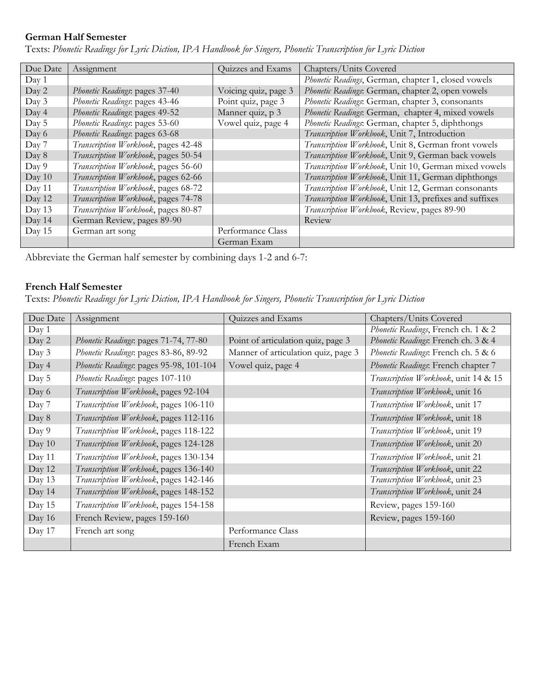# **German Half Semester**

| Due Date | Assignment                          | Quizzes and Exams    | Chapters/Units Covered                                 |
|----------|-------------------------------------|----------------------|--------------------------------------------------------|
| Day 1    |                                     |                      | Phonetic Readings, German, chapter 1, closed vowels    |
| Day 2    | Phonetic Readings: pages 37-40      | Voicing quiz, page 3 | Phonetic Readings: German, chapter 2, open vowels      |
| Day 3    | Phonetic Readings: pages 43-46      | Point quiz, page 3   | Phonetic Readings: German, chapter 3, consonants       |
| Day 4    | Phonetic Readings: pages 49-52      | Manner quiz, p 3     | Phonetic Readings: German, chapter 4, mixed vowels     |
| Day 5    | Phonetic Readings: pages 53-60      | Vowel quiz, page 4   | Phonetic Readings: German, chapter 5, diphthongs       |
| Day 6    | Phonetic Readings: pages 63-68      |                      | Transcription Workbook, Unit 7, Introduction           |
| Day 7    | Transcription Workbook, pages 42-48 |                      | Transcription Workbook, Unit 8, German front vowels    |
| Day 8    | Transcription Workbook, pages 50-54 |                      | Transcription Workbook, Unit 9, German back vowels     |
| Day 9    | Transcription Workbook, pages 56-60 |                      | Transcription Workbook, Unit 10, German mixed vowels   |
| Day 10   | Transcription Workbook, pages 62-66 |                      | Transcription Workbook, Unit 11, German diphthongs     |
| Day 11   | Transcription Workbook, pages 68-72 |                      | Transcription Workbook, Unit 12, German consonants     |
| Day 12   | Transcription Workbook, pages 74-78 |                      | Transcription Workbook, Unit 13, prefixes and suffixes |
| Day 13   | Transcription Workbook, pages 80-87 |                      | Transcription Workbook, Review, pages 89-90            |
| Day 14   | German Review, pages 89-90          |                      | Review                                                 |
| Day 15   | German art song                     | Performance Class    |                                                        |
|          |                                     | German Exam          |                                                        |

Texts: *Phonetic Readings for Lyric Diction, IPA Handbook for Singers, Phonetic Transcription for Lyric Diction*

Abbreviate the German half semester by combining days 1-2 and 6-7:

#### **French Half Semester**

Texts: *Phonetic Readings for Lyric Diction, IPA Handbook for Singers, Phonetic Transcription for Lyric Diction*

| Due Date | Assignment                              | Quizzes and Exams                   | Chapters/Units Covered               |
|----------|-----------------------------------------|-------------------------------------|--------------------------------------|
| Day 1    |                                         |                                     | Phonetic Readings, French ch. 1 & 2  |
| Day 2    | Phonetic Readings: pages 71-74, 77-80   | Point of articulation quiz, page 3  | Phonetic Readings: French ch. 3 & 4  |
| Day 3    | Phonetic Readings: pages 83-86, 89-92   | Manner of articulation quiz, page 3 | Phonetic Readings: French ch. 5 & 6  |
| Day 4    | Phonetic Readings: pages 95-98, 101-104 | Vowel quiz, page 4                  | Phonetic Readings: French chapter 7  |
| Day 5    | Phonetic Readings: pages 107-110        |                                     | Transcription Workbook, unit 14 & 15 |
| Day 6    | Transcription Workbook, pages 92-104    |                                     | Transcription Workbook, unit 16      |
| Day 7    | Transcription Workbook, pages 106-110   |                                     | Transcription Workbook, unit 17      |
| Day 8    | Transcription Workbook, pages 112-116   |                                     | Transcription Workbook, unit 18      |
| Day 9    | Transcription Workbook, pages 118-122   |                                     | Transcription Workbook, unit 19      |
| Day 10   | Transcription Workbook, pages 124-128   |                                     | Transcription Workbook, unit 20      |
| Day 11   | Transcription Workbook, pages 130-134   |                                     | Transcription Workbook, unit 21      |
| Day 12   | Transcription Workbook, pages 136-140   |                                     | Transcription Workbook, unit 22      |
| Day 13   | Transcription Workbook, pages 142-146   |                                     | Transcription Workbook, unit 23      |
| Day 14   | Transcription Workbook, pages 148-152   |                                     | Transcription Workbook, unit 24      |
| Day 15   | Transcription Workbook, pages 154-158   |                                     | Review, pages 159-160                |
| Day 16   | French Review, pages 159-160            |                                     | Review, pages 159-160                |
| Day 17   | French art song                         | Performance Class                   |                                      |
|          |                                         | French Exam                         |                                      |